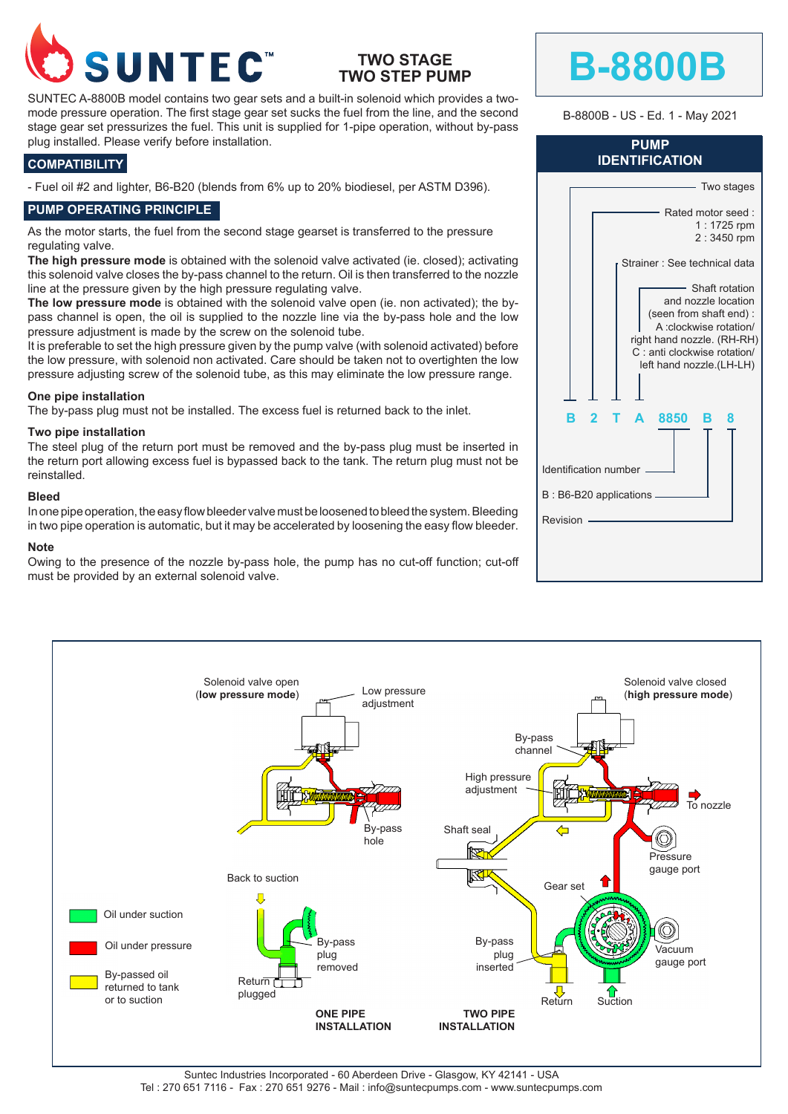

# **TWO STAGE TWO STEP PUMP**

SUNTEC A-8800B model contains two gear sets and a built-in solenoid which provides a twomode pressure operation. The first stage gear set sucks the fuel from the line, and the second stage gear set pressurizes the fuel. This unit is supplied for 1-pipe operation, without by-pass plug installed. Please verify before installation.

### **COMPATIBILITY**

- Fuel oil #2 and lighter, B6-B20 (blends from 6% up to 20% biodiesel, per ASTM D396).

## **PUMP OPERATING PRINCIPLE**

As the motor starts, the fuel from the second stage gearset is transferred to the pressure regulating valve.

The high pressure mode is obtained with the solenoid valve activated (ie. closed); activating this solenoid valve closes the by-pass channel to the return. Oil is then transferred to the nozzle line at the pressure given by the high pressure regulating valve.

**The low pressure mode** is obtained with the solenoid valve open (ie. non activated); the bypass channel is open, the oil is supplied to the nozzle line via the by-pass hole and the low pressure adjustment is made by the screw on the solenoid tube.

It is preferable to set the high pressure given by the pump valve (with solenoid activated) before the low pressure, with solenoid non activated. Care should be taken not to overtighten the low pressure adjusting screw of the solenoid tube, as this may eliminate the low pressure range.

#### **One pipe installation**

The by-pass plug must not be installed. The excess fuel is returned back to the inlet.

#### **Two pipe installation**

The steel plug of the return port must be removed and the by-pass plug must be inserted in the return port allowing excess fuel is bypassed back to the tank. The return plug must not be reinstalled.

#### **Bleed**

In one pipe operation, the easy flow bleeder valve must be loosened to bleed the system. Bleeding in two pipe operation is automatic, but it may be accelerated by loosening the easy flow bleeder.

#### **Note**

Owing to the presence of the nozzle by-pass hole, the pump has no cut-off function; cut-off must be provided by an external solenoid valve.

| <b>IDENTIFICATION</b>    |                                                                                                                                                                                    |  |  |
|--------------------------|------------------------------------------------------------------------------------------------------------------------------------------------------------------------------------|--|--|
|                          | Two stages                                                                                                                                                                         |  |  |
|                          | Rated motor seed:<br>1:1725 rpm<br>2:3450 rpm                                                                                                                                      |  |  |
|                          | Strainer: See technical data                                                                                                                                                       |  |  |
|                          | Shaft rotation<br>and nozzle location<br>(seen from shaft end):<br>A :clockwise rotation/<br>right hand nozzle. (RH-RH)<br>C: anti clockwise rotation/<br>left hand nozzle.(LH-LH) |  |  |
| в                        | 2<br>8850<br>A<br>в<br>8                                                                                                                                                           |  |  |
| Identification number    |                                                                                                                                                                                    |  |  |
| B: B6-B20 applications - |                                                                                                                                                                                    |  |  |
| Revision                 |                                                                                                                                                                                    |  |  |
|                          |                                                                                                                                                                                    |  |  |

**B-8800B**

**PUMP**

B-8800B - US - Ed. 1 - May 2021